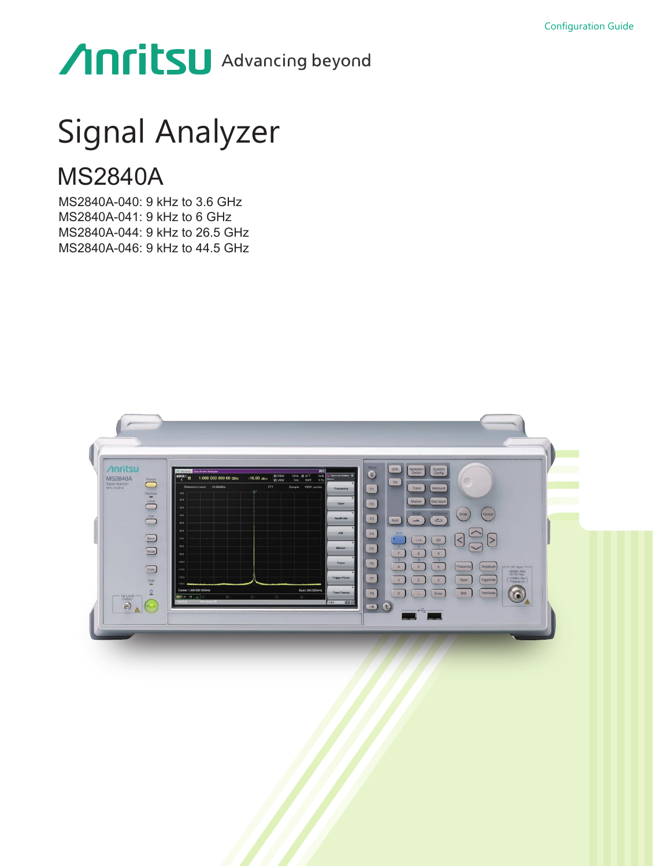# Anritsu Advancing beyond

# Signal Analyzer

# MS2840A

MS2840A-040: 9 kHz to 3.6 GHz MS2840A-041: 9 kHz to 6 GHz MS2840A-044: 9 kHz to 26.5 GHz MS2840A-046: 9 kHz to 44.5 GHz

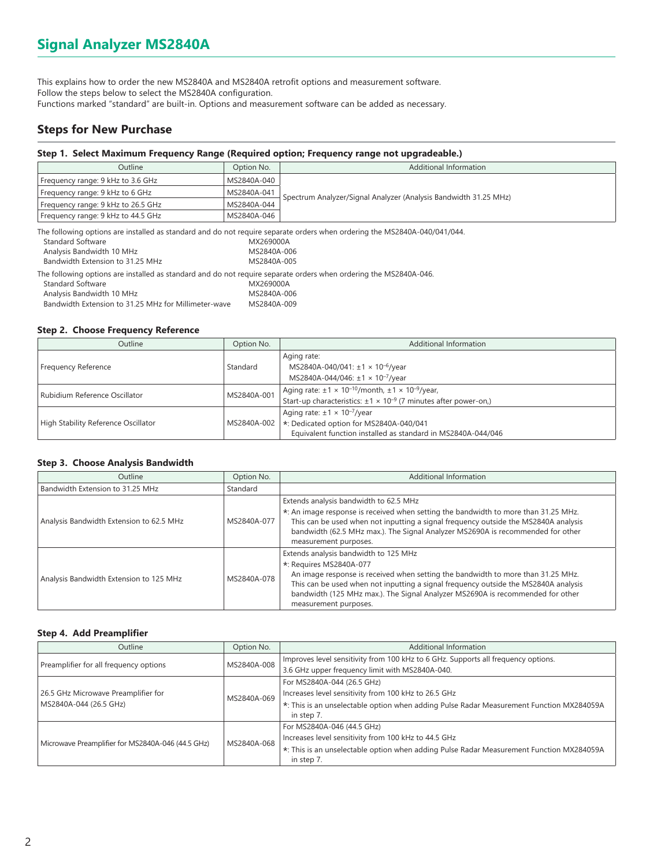This explains how to order the new MS2840A and MS2840A retrofit options and measurement software. Follow the steps below to select the MS2840A configuration. Functions marked "standard" are built-in. Options and measurement software can be added as necessary.

# **Steps for New Purchase**

### **Step 1. Select Maximum Frequency Range (Required option; Frequency range not upgradeable.)**

| Outline                            | Option No.  | Additional Information                                           |
|------------------------------------|-------------|------------------------------------------------------------------|
| Frequency range: 9 kHz to 3.6 GHz  | MS2840A-040 |                                                                  |
| Frequency range: 9 kHz to 6 GHz    | MS2840A-041 | Spectrum Analyzer/Signal Analyzer (Analysis Bandwidth 31.25 MHz) |
| Frequency range: 9 kHz to 26.5 GHz | MS2840A-044 |                                                                  |
| Frequency range: 9 kHz to 44.5 GHz | MS2840A-046 |                                                                  |
|                                    |             |                                                                  |

The following options are installed as standard and do not require separate orders when ordering the MS2840A-040/041/044.

| Standard Software                                                                                                | MX269000A   |
|------------------------------------------------------------------------------------------------------------------|-------------|
| Analysis Bandwidth 10 MHz                                                                                        | MS2840A-006 |
| Bandwidth Extension to 31.25 MHz                                                                                 | MS2840A-005 |
| The following options are installed as standard and do not require separate orders when ordering the MS2840A-046 |             |
| <b>Standard Software</b>                                                                                         | MX269000A   |
| Analysis Bandwidth 10 MHz                                                                                        | MS2840A-006 |
| Bandwidth Extension to 31.25 MHz for Millimeter-wave                                                             | MS2840A-009 |

### **Step 2. Choose Frequency Reference**

| Outline                             | Option No.  | Additional Information                                                       |
|-------------------------------------|-------------|------------------------------------------------------------------------------|
|                                     |             | Aging rate:                                                                  |
| Frequency Reference                 | Standard    | MS2840A-040/041: ±1 × 10 <sup>-6</sup> /year                                 |
|                                     |             | MS2840A-044/046: ±1 × 10 <sup>-7</sup> /year                                 |
| Rubidium Reference Oscillator       | MS2840A-001 | Aging rate: $\pm 1 \times 10^{-10}$ /month, $\pm 1 \times 10^{-9}$ /year,    |
|                                     |             | Start-up characteristics: $\pm 1 \times 10^{-9}$ (7 minutes after power-on.) |
|                                     |             | Aging rate: $\pm 1 \times 10^{-7}$ /year                                     |
| High Stability Reference Oscillator | MS2840A-002 | *: Dedicated option for MS2840A-040/041                                      |
|                                     |             | Equivalent function installed as standard in MS2840A-044/046                 |

### **Step 3. Choose Analysis Bandwidth**

| <b>Outline</b>                           | Option No.  | Additional Information                                                                                                                                                                                                                                                                                                                                 |
|------------------------------------------|-------------|--------------------------------------------------------------------------------------------------------------------------------------------------------------------------------------------------------------------------------------------------------------------------------------------------------------------------------------------------------|
| Bandwidth Extension to 31.25 MHz         | Standard    |                                                                                                                                                                                                                                                                                                                                                        |
| Analysis Bandwidth Extension to 62.5 MHz | MS2840A-077 | Extends analysis bandwidth to 62.5 MHz<br>*: An image response is received when setting the bandwidth to more than 31.25 MHz.<br>This can be used when not inputting a signal frequency outside the MS2840A analysis<br>bandwidth (62.5 MHz max.). The Signal Analyzer MS2690A is recommended for other<br>measurement purposes.                       |
| Analysis Bandwidth Extension to 125 MHz  | MS2840A-078 | Extends analysis bandwidth to 125 MHz<br>*: Requires MS2840A-077<br>An image response is received when setting the bandwidth to more than 31.25 MHz.<br>This can be used when not inputting a signal frequency outside the MS2840A analysis<br>bandwidth (125 MHz max.). The Signal Analyzer MS2690A is recommended for other<br>measurement purposes. |

### **Step 4. Add Preamplifier**

| Outline                                           | Option No.  | Additional Information                                                                   |
|---------------------------------------------------|-------------|------------------------------------------------------------------------------------------|
|                                                   | MS2840A-008 | Improves level sensitivity from 100 kHz to 6 GHz. Supports all frequency options.        |
| Preamplifier for all frequency options            |             | 3.6 GHz upper frequency limit with MS2840A-040.                                          |
|                                                   | MS2840A-069 | For MS2840A-044 (26.5 GHz)                                                               |
| 26.5 GHz Microwave Preamplifier for               |             | Increases level sensitivity from 100 kHz to 26.5 GHz                                     |
| MS2840A-044 (26.5 GHz)                            |             | *: This is an unselectable option when adding Pulse Radar Measurement Function MX284059A |
|                                                   |             | in step 7.                                                                               |
| Microwave Preamplifier for MS2840A-046 (44.5 GHz) | MS2840A-068 | For MS2840A-046 (44.5 GHz)                                                               |
|                                                   |             | Increases level sensitivity from 100 kHz to 44.5 GHz                                     |
|                                                   |             | *: This is an unselectable option when adding Pulse Radar Measurement Function MX284059A |
|                                                   |             | in step 7.                                                                               |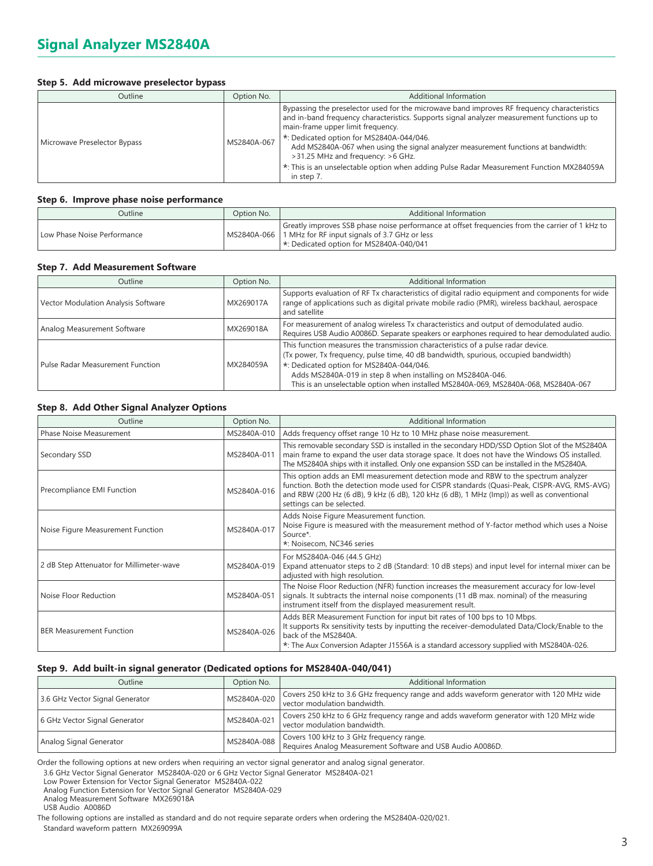### **Step 5. Add microwave preselector bypass**

| Outline                      | Option No.  | <b>Additional Information</b>                                                                                                                                                                                                                                                                                                                                                                                                                                                                                    |
|------------------------------|-------------|------------------------------------------------------------------------------------------------------------------------------------------------------------------------------------------------------------------------------------------------------------------------------------------------------------------------------------------------------------------------------------------------------------------------------------------------------------------------------------------------------------------|
| Microwave Preselector Bypass | MS2840A-067 | Bypassing the preselector used for the microwave band improves RF frequency characteristics<br>and in-band frequency characteristics. Supports signal analyzer measurement functions up to<br>main-frame upper limit frequency.<br>*: Dedicated option for MS2840A-044/046.<br>Add MS2840A-067 when using the signal analyzer measurement functions at bandwidth:<br>>31.25 MHz and frequency: >6 GHz.<br>*: This is an unselectable option when adding Pulse Radar Measurement Function MX284059A<br>in step 7. |

### **Step 6. Improve phase noise performance**

| Outline                     | Option No. | Additional Information                                                                                                                                                                                        |
|-----------------------------|------------|---------------------------------------------------------------------------------------------------------------------------------------------------------------------------------------------------------------|
| Low Phase Noise Performance |            | Greatly improves SSB phase noise performance at offset frequencies from the carrier of 1 kHz to<br>  MS2840A-066   1 MHz for RF input signals of 3.7 GHz or less<br>1 *: Dedicated option for MS2840A-040/041 |

### **Step 7. Add Measurement Software**

| <b>Outline</b>                          | Option No. | Additional Information                                                                                                                                                                                                                                                                                                                                                   |
|-----------------------------------------|------------|--------------------------------------------------------------------------------------------------------------------------------------------------------------------------------------------------------------------------------------------------------------------------------------------------------------------------------------------------------------------------|
| Vector Modulation Analysis Software     | MX269017A  | Supports evaluation of RF Tx characteristics of digital radio equipment and components for wide<br>range of applications such as digital private mobile radio (PMR), wireless backhaul, aerospace<br>and satellite                                                                                                                                                       |
| Analog Measurement Software             | MX269018A  | For measurement of analog wireless Tx characteristics and output of demodulated audio.<br>Requires USB Audio A0086D. Separate speakers or earphones required to hear demodulated audio.                                                                                                                                                                                  |
| <b>Pulse Radar Measurement Function</b> | MX284059A  | This function measures the transmission characteristics of a pulse radar device.<br>(Tx power, Tx frequency, pulse time, 40 dB bandwidth, spurious, occupied bandwidth)<br>*: Dedicated option for MS2840A-044/046.<br>Adds MS2840A-019 in step 8 when installing on MS2840A-046.<br>This is an unselectable option when installed MS2840A-069, MS2840A-068, MS2840A-067 |

### **Step 8. Add Other Signal Analyzer Options**

| Outline                                  | Option No.  | <b>Additional Information</b>                                                                                                                                                                                                                                                                                 |
|------------------------------------------|-------------|---------------------------------------------------------------------------------------------------------------------------------------------------------------------------------------------------------------------------------------------------------------------------------------------------------------|
| <b>Phase Noise Measurement</b>           | MS2840A-010 | Adds frequency offset range 10 Hz to 10 MHz phase noise measurement.                                                                                                                                                                                                                                          |
| Secondary SSD                            | MS2840A-011 | This removable secondary SSD is installed in the secondary HDD/SSD Option Slot of the MS2840A<br>main frame to expand the user data storage space. It does not have the Windows OS installed.<br>The MS2840A ships with it installed. Only one expansion SSD can be installed in the MS2840A.                 |
| Precompliance EMI Function               | MS2840A-016 | This option adds an EMI measurement detection mode and RBW to the spectrum analyzer<br>function. Both the detection mode used for CISPR standards (Quasi-Peak, CISPR-AVG, RMS-AVG)<br>and RBW (200 Hz (6 dB), 9 kHz (6 dB), 120 kHz (6 dB), 1 MHz (lmp)) as well as conventional<br>settings can be selected. |
| Noise Figure Measurement Function        | MS2840A-017 | Adds Noise Figure Measurement function.<br>Noise Figure is measured with the measurement method of Y-factor method which uses a Noise<br>Source*.<br>*: Noisecom, NC346 series                                                                                                                                |
| 2 dB Step Attenuator for Millimeter-wave | MS2840A-019 | For MS2840A-046 (44.5 GHz)<br>Expand attenuator steps to 2 dB (Standard: 10 dB steps) and input level for internal mixer can be<br>adjusted with high resolution.                                                                                                                                             |
| Noise Floor Reduction                    | MS2840A-051 | The Noise Floor Reduction (NFR) function increases the measurement accuracy for low-level<br>signals. It subtracts the internal noise components (11 dB max. nominal) of the measuring<br>instrument itself from the displayed measurement result.                                                            |
| <b>BER Measurement Function</b>          | MS2840A-026 | Adds BER Measurement Function for input bit rates of 100 bps to 10 Mbps.<br>It supports Rx sensitivity tests by inputting the receiver-demodulated Data/Clock/Enable to the<br>back of the MS2840A.<br>*: The Aux Conversion Adapter J1556A is a standard accessory supplied with MS2840A-026.                |

### **Step 9. Add built-in signal generator (Dedicated options for MS2840A-040/041)**

| <b>Outline</b>                  | Option No.  | Additional Information                                                                                                  |
|---------------------------------|-------------|-------------------------------------------------------------------------------------------------------------------------|
| 3.6 GHz Vector Signal Generator | MS2840A-020 | Covers 250 kHz to 3.6 GHz frequency range and adds waveform generator with 120 MHz wide<br>vector modulation bandwidth. |
| 6 GHz Vector Signal Generator   | MS2840A-021 | Covers 250 kHz to 6 GHz frequency range and adds waveform generator with 120 MHz wide<br>vector modulation bandwidth.   |
| Analog Signal Generator         | MS2840A-088 | Covers 100 kHz to 3 GHz frequency range.<br>Requires Analog Measurement Software and USB Audio A0086D.                  |

Order the following options at new orders when requiring an vector signal generator and analog signal generator.

3.6 GHz Vector Signal Generator MS2840A-020 or 6 GHz Vector Signal Generator MS2840A-021

Low Power Extension for Vector Signal Generator MS2840A-022

Analog Function Extension for Vector Signal Generator MS2840A-029

Analog Measurement Software MX269018A

USB Audio A0086D

The following options are installed as standard and do not require separate orders when ordering the MS2840A-020/021. Standard waveform pattern MX269099A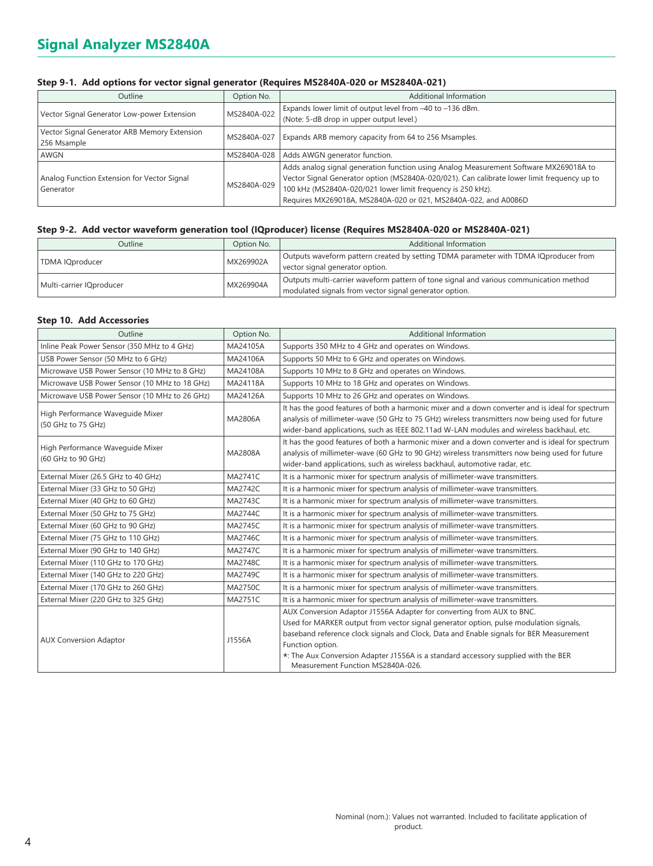### **Step 9-1. Add options for vector signal generator (Requires MS2840A-020 or MS2840A-021)**

| <b>Outline</b>                               | Option No.  | Additional Information                                                                      |
|----------------------------------------------|-------------|---------------------------------------------------------------------------------------------|
| Vector Signal Generator Low-power Extension  | MS2840A-022 | Expands lower limit of output level from -40 to -136 dBm.                                   |
|                                              |             | (Note: 5-dB drop in upper output level.)                                                    |
| Vector Signal Generator ARB Memory Extension |             |                                                                                             |
| 256 Msample                                  | MS2840A-027 | Expands ARB memory capacity from 64 to 256 Msamples.                                        |
| AWGN                                         | MS2840A-028 | Adds AWGN generator function.                                                               |
|                                              | MS2840A-029 | Adds analog signal generation function using Analog Measurement Software MX269018A to       |
| Analog Function Extension for Vector Signal  |             | Vector Signal Generator option (MS2840A-020/021). Can calibrate lower limit frequency up to |
| Generator                                    |             | 100 kHz (MS2840A-020/021 lower limit frequency is 250 kHz).                                 |
|                                              |             | Requires MX269018A, MS2840A-020 or 021, MS2840A-022, and A0086D                             |

### **Step 9-2. Add vector waveform generation tool (IQproducer) license (Requires MS2840A-020 or MS2840A-021)**

| Outline                  | Option No. | Additional Information                                                                 |
|--------------------------|------------|----------------------------------------------------------------------------------------|
| <b>TDMA IQproducer</b>   | MX269902A  | Outputs waveform pattern created by setting TDMA parameter with TDMA IQproducer from   |
|                          |            | vector signal generator option.                                                        |
| Multi-carrier IQproducer | MX269904A  | Outputs multi-carrier waveform pattern of tone signal and various communication method |
|                          |            | modulated signals from vector signal generator option.                                 |

### **Step 10. Add Accessories**

| Outline                                                | Option No.     | <b>Additional Information</b>                                                                                                                                                                                                                                                                                                                                                                            |  |  |  |  |
|--------------------------------------------------------|----------------|----------------------------------------------------------------------------------------------------------------------------------------------------------------------------------------------------------------------------------------------------------------------------------------------------------------------------------------------------------------------------------------------------------|--|--|--|--|
| Inline Peak Power Sensor (350 MHz to 4 GHz)            | MA24105A       | Supports 350 MHz to 4 GHz and operates on Windows.                                                                                                                                                                                                                                                                                                                                                       |  |  |  |  |
| USB Power Sensor (50 MHz to 6 GHz)                     | MA24106A       | Supports 50 MHz to 6 GHz and operates on Windows.                                                                                                                                                                                                                                                                                                                                                        |  |  |  |  |
| Microwave USB Power Sensor (10 MHz to 8 GHz)           | MA24108A       | Supports 10 MHz to 8 GHz and operates on Windows.                                                                                                                                                                                                                                                                                                                                                        |  |  |  |  |
| Microwave USB Power Sensor (10 MHz to 18 GHz)          | MA24118A       | Supports 10 MHz to 18 GHz and operates on Windows.                                                                                                                                                                                                                                                                                                                                                       |  |  |  |  |
| Microwave USB Power Sensor (10 MHz to 26 GHz)          | MA24126A       | Supports 10 MHz to 26 GHz and operates on Windows.                                                                                                                                                                                                                                                                                                                                                       |  |  |  |  |
| High Performance Waveguide Mixer<br>(50 GHz to 75 GHz) | MA2806A        | It has the good features of both a harmonic mixer and a down converter and is ideal for spectrum<br>analysis of millimeter-wave (50 GHz to 75 GHz) wireless transmitters now being used for future<br>wider-band applications, such as IEEE 802.11ad W-LAN modules and wireless backhaul, etc.                                                                                                           |  |  |  |  |
| High Performance Wavequide Mixer<br>(60 GHz to 90 GHz) | MA2808A        | It has the good features of both a harmonic mixer and a down converter and is ideal for spectrum<br>analysis of millimeter-wave (60 GHz to 90 GHz) wireless transmitters now being used for future<br>wider-band applications, such as wireless backhaul, automotive radar, etc.                                                                                                                         |  |  |  |  |
| External Mixer (26.5 GHz to 40 GHz)                    | <b>MA2741C</b> | It is a harmonic mixer for spectrum analysis of millimeter-wave transmitters.                                                                                                                                                                                                                                                                                                                            |  |  |  |  |
| External Mixer (33 GHz to 50 GHz)                      | <b>MA2742C</b> | It is a harmonic mixer for spectrum analysis of millimeter-wave transmitters.                                                                                                                                                                                                                                                                                                                            |  |  |  |  |
| External Mixer (40 GHz to 60 GHz)                      | MA2743C        | It is a harmonic mixer for spectrum analysis of millimeter-wave transmitters.                                                                                                                                                                                                                                                                                                                            |  |  |  |  |
| External Mixer (50 GHz to 75 GHz)                      | <b>MA2744C</b> | It is a harmonic mixer for spectrum analysis of millimeter-wave transmitters.                                                                                                                                                                                                                                                                                                                            |  |  |  |  |
| External Mixer (60 GHz to 90 GHz)                      | <b>MA2745C</b> | It is a harmonic mixer for spectrum analysis of millimeter-wave transmitters.                                                                                                                                                                                                                                                                                                                            |  |  |  |  |
| External Mixer (75 GHz to 110 GHz)                     | MA2746C        | It is a harmonic mixer for spectrum analysis of millimeter-wave transmitters.                                                                                                                                                                                                                                                                                                                            |  |  |  |  |
| External Mixer (90 GHz to 140 GHz)                     | <b>MA2747C</b> | It is a harmonic mixer for spectrum analysis of millimeter-wave transmitters.                                                                                                                                                                                                                                                                                                                            |  |  |  |  |
| External Mixer (110 GHz to 170 GHz)                    | <b>MA2748C</b> | It is a harmonic mixer for spectrum analysis of millimeter-wave transmitters.                                                                                                                                                                                                                                                                                                                            |  |  |  |  |
| External Mixer (140 GHz to 220 GHz)                    | MA2749C        | It is a harmonic mixer for spectrum analysis of millimeter-wave transmitters.                                                                                                                                                                                                                                                                                                                            |  |  |  |  |
| External Mixer (170 GHz to 260 GHz)                    | MA2750C        | It is a harmonic mixer for spectrum analysis of millimeter-wave transmitters.                                                                                                                                                                                                                                                                                                                            |  |  |  |  |
| External Mixer (220 GHz to 325 GHz)                    | <b>MA2751C</b> | It is a harmonic mixer for spectrum analysis of millimeter-wave transmitters.                                                                                                                                                                                                                                                                                                                            |  |  |  |  |
| <b>AUX Conversion Adaptor</b>                          | J1556A         | AUX Conversion Adaptor J1556A Adapter for converting from AUX to BNC.<br>Used for MARKER output from vector signal generator option, pulse modulation signals,<br>baseband reference clock signals and Clock, Data and Enable signals for BER Measurement<br>Function option.<br>*: The Aux Conversion Adapter J1556A is a standard accessory supplied with the BER<br>Measurement Function MS2840A-026. |  |  |  |  |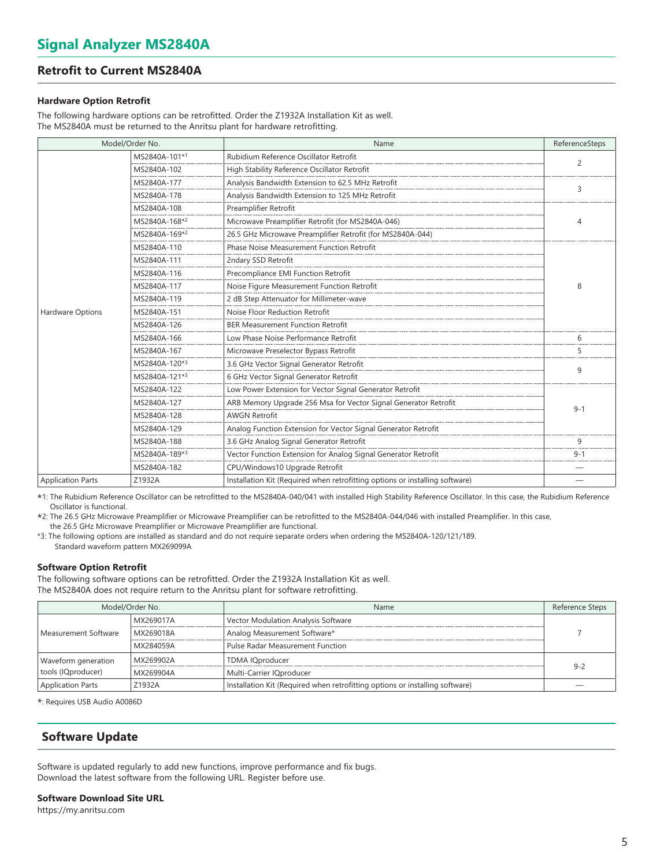# **Retrofit to Current MS2840A**

### **Hardware Option Retrofit**

The following hardware options can be retrofitted. Order the Z1932A Installation Kit as well. The MS2840A must be returned to the Anritsu plant for hardware retrofitting.

| Model/Order No.          |                                                                                 | Name                                                                         | ReferenceSteps |
|--------------------------|---------------------------------------------------------------------------------|------------------------------------------------------------------------------|----------------|
|                          | MS2840A-101*1                                                                   | Rubidium Reference Oscillator Retrofit                                       | 2              |
|                          | MS2840A-102                                                                     | High Stability Reference Oscillator Retrofit                                 |                |
|                          | MS2840A-177                                                                     | Analysis Bandwidth Extension to 62.5 MHz Retrofit                            | 3              |
|                          | MS2840A-178                                                                     | Analysis Bandwidth Extension to 125 MHz Retrofit                             |                |
|                          | MS2840A-108                                                                     | Preamplifier Retrofit                                                        |                |
|                          | MS2840A-168*2                                                                   | Microwave Preamplifier Retrofit (for MS2840A-046)                            | 4              |
|                          | MS2840A-169*2                                                                   | 26.5 GHz Microwave Preamplifier Retrofit (for MS2840A-044)                   |                |
|                          | MS2840A-110                                                                     | Phase Noise Measurement Function Retrofit                                    |                |
|                          | MS2840A-111                                                                     | 2ndary SSD Retrofit                                                          |                |
|                          | MS2840A-116                                                                     | Precompliance EMI Function Retrofit                                          |                |
|                          | MS2840A-117                                                                     | Noise Figure Measurement Function Retrofit                                   | 8              |
|                          | MS2840A-119                                                                     | 2 dB Step Attenuator for Millimeter-wave                                     |                |
| Hardware Options         | MS2840A-151                                                                     | Noise Floor Reduction Retrofit                                               |                |
|                          | MS2840A-126                                                                     | <b>BER Measurement Function Retrofit</b>                                     |                |
|                          | MS2840A-166                                                                     | Low Phase Noise Performance Retrofit                                         | h              |
|                          | MS2840A-167                                                                     | Microwave Preselector Bypass Retrofit                                        | 5              |
|                          | MS2840A-120*3                                                                   | 3.6 GHz Vector Signal Generator Retrofit                                     | 9              |
|                          | MS2840A-121*3                                                                   | 6 GHz Vector Signal Generator Retrofit                                       |                |
|                          | MS2840A-122                                                                     | Low Power Extension for Vector Signal Generator Retrofit                     |                |
|                          | MS2840A-127                                                                     | ARB Memory Upgrade 256 Msa for Vector Signal Generator Retrofit              | $9 - 1$        |
|                          | MS2840A-128                                                                     | <b>AWGN Retrofit</b>                                                         |                |
|                          | MS2840A-129                                                                     | Analog Function Extension for Vector Signal Generator Retrofit               |                |
|                          | 3.6 GHz Analog Signal Generator Retrofit<br>MS2840A-188                         |                                                                              | 9              |
|                          | Vector Function Extension for Analog Signal Generator Retrofit<br>MS2840A-189*3 |                                                                              | $9 - 1$        |
|                          | MS2840A-182                                                                     | CPU/Windows10 Upgrade Retrofit                                               |                |
| <b>Application Parts</b> | Z1932A                                                                          | Installation Kit (Required when retrofitting options or installing software) |                |

\*1: The Rubidium Reference Oscillator can be retrofitted to the MS2840A-040/041 with installed High Stability Reference Oscillator. In this case, the Rubidium Reference Oscillator is functional.

\*2: The 26.5 GHz Microwave Preamplifier or Microwave Preamplifier can be retrofitted to the MS2840A-044/046 with installed Preamplifier. In this case, the 26.5 GHz Microwave Preamplifier or Microwave Preamplifier are functional.

\*3: The following options are installed as standard and do not require separate orders when ordering the MS2840A-120/121/189. Standard waveform pattern MX269099A

### **Software Option Retrofit**

The following software options can be retrofitted. Order the Z1932A Installation Kit as well. The MS2840A does not require return to the Anritsu plant for software retrofitting.

|                          | Model/Order No. | <b>Name</b>                                                                  | Reference Steps |  |  |  |
|--------------------------|-----------------|------------------------------------------------------------------------------|-----------------|--|--|--|
|                          | MX269017A       | Vector Modulation Analysis Software                                          |                 |  |  |  |
| Measurement Software     | MX269018A       | Analog Measurement Software*                                                 |                 |  |  |  |
|                          | MX284059A       | <b>Pulse Radar Measurement Function</b>                                      |                 |  |  |  |
| Waveform generation      | MX269902A       | <b>TDMA IOproducer</b>                                                       |                 |  |  |  |
| tools (IQproducer)       | MX269904A       | Multi-Carrier IQproducer                                                     | $9 - 2$         |  |  |  |
| <b>Application Parts</b> | Z1932A          | Installation Kit (Required when retrofitting options or installing software) |                 |  |  |  |

\*: Requires USB Audio A0086D

# **Software Update**

Software is updated regularly to add new functions, improve performance and fix bugs. Download the latest software from the following URL. Register before use.

### **Software Download Site URL**

https://my.anritsu.com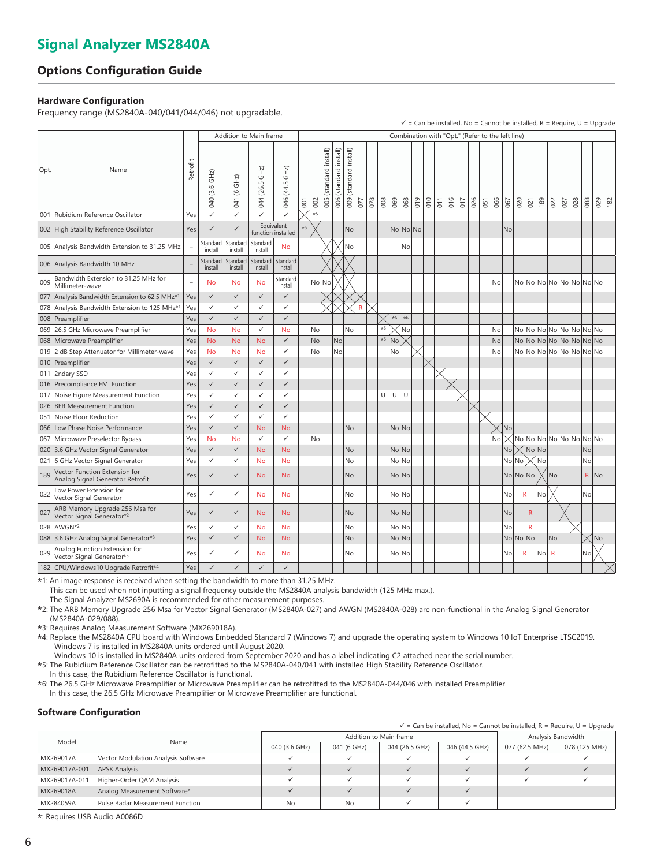# **Options Configuration Guide**

# **Hardware Configuration**

Frequency range (MS2840A-040/041/044/046) not upgradable.

|      |                                                                         |                |                     |                        |                        |                                  |      |           |                           |                              |                              |              |     |               |       |                                                  |            |                  |     |     |     |     |     |              |              |                 |     |              |     |     |                         | $\checkmark$ = Can be installed, No = Cannot be installed, R = Require, U = Upgrade |
|------|-------------------------------------------------------------------------|----------------|---------------------|------------------------|------------------------|----------------------------------|------|-----------|---------------------------|------------------------------|------------------------------|--------------|-----|---------------|-------|--------------------------------------------------|------------|------------------|-----|-----|-----|-----|-----|--------------|--------------|-----------------|-----|--------------|-----|-----|-------------------------|-------------------------------------------------------------------------------------|
|      |                                                                         |                |                     | Addition to Main frame |                        |                                  |      |           |                           |                              |                              |              |     |               |       | Combination with "Opt." (Refer to the left line) |            |                  |     |     |     |     |     |              |              |                 |     |              |     |     |                         |                                                                                     |
| Opt. | Name                                                                    | Retrofit       | 040 (3.6 GHz)       | $(6$ GHz)<br>041       | $GHZ$ )<br>(26.5)<br>4 | 046 (44.5 GHz)                   | 001  | 002       | (standard install)<br>005 | install)<br>(standard<br>006 | install)<br>(standard<br>009 | 077          | 078 | $\frac{8}{6}$ | 069   | 068                                              | 010<br>019 | $\overline{011}$ | 016 | 017 | 026 | 051 | 066 | 67           | 020          | 021             | 189 | 022          | 027 | 028 | 88                      | 029<br>182                                                                          |
|      | 001 Rubidium Reference Oscillator                                       | Yes            | $\checkmark$        | $\checkmark$           | ✓                      | $\checkmark$                     |      | $*5$      |                           |                              |                              |              |     |               |       |                                                  |            |                  |     |     |     |     |     |              |              |                 |     |              |     |     |                         |                                                                                     |
|      | 002 High Stability Reference Oscillator                                 | Yes            | $\checkmark$        |                        |                        | Equivalent<br>function installed | $*5$ |           |                           |                              | No                           |              |     |               |       | No No No                                         |            |                  |     |     |     |     |     | <b>No</b>    |              |                 |     |              |     |     |                         |                                                                                     |
|      | 005 Analysis Bandwidth Extension to 31.25 MHz                           |                | Standard<br>install | Standard<br>install    | Standard<br>install    | <b>No</b>                        |      |           |                           |                              | No                           |              |     |               |       | No                                               |            |                  |     |     |     |     |     |              |              |                 |     |              |     |     |                         |                                                                                     |
|      | 006 Analysis Bandwidth 10 MHz                                           |                | Standard<br>install | Standard<br>install    | Standard<br>install    | Standard<br>install              |      |           |                           |                              |                              |              |     |               |       |                                                  |            |                  |     |     |     |     |     |              |              |                 |     |              |     |     |                         |                                                                                     |
| 009  | Bandwidth Extension to 31.25 MHz for<br>Millimeter-wave                 | $\overline{a}$ | <b>No</b>           | No                     | No                     | Standard<br>install              |      | No No     |                           |                              |                              |              |     |               |       |                                                  |            |                  |     |     |     |     | No  |              |              |                 |     |              |     |     | No No No No No No No No |                                                                                     |
|      | 077 Analysis Bandwidth Extension to 62.5 MHz <sup>*1</sup>              | Yes            | $\checkmark$        | $\checkmark$           | $\checkmark$           | $\checkmark$                     |      |           |                           |                              |                              |              |     |               |       |                                                  |            |                  |     |     |     |     |     |              |              |                 |     |              |     |     |                         |                                                                                     |
|      | 078 Analysis Bandwidth Extension to 125 MHz*                            | Yes            | $\checkmark$        | $\checkmark$           | $\checkmark$           | $\checkmark$                     |      |           |                           |                              |                              | $\mathsf{R}$ |     |               |       |                                                  |            |                  |     |     |     |     |     |              |              |                 |     |              |     |     |                         |                                                                                     |
|      | 008 Preamplifier                                                        | Yes            | $\checkmark$        | $\checkmark$           | $\checkmark$           | $\checkmark$                     |      |           |                           |                              |                              |              |     |               | $*6$  | $*6$                                             |            |                  |     |     |     |     |     |              |              |                 |     |              |     |     |                         |                                                                                     |
| 069  | 26.5 GHz Microwave Preamplifier                                         | Yes            | <b>No</b>           | <b>No</b>              | $\checkmark$           | <b>No</b>                        |      | No        |                           |                              | No                           |              |     | $*6$          |       | No                                               |            |                  |     |     |     |     | No  |              |              |                 |     |              |     |     | No No No No No No No No |                                                                                     |
|      | 068   Microwave Preamplifier                                            | Yes            | <b>No</b>           | <b>No</b>              | <b>No</b>              | $\checkmark$                     |      | No        |                           | No                           |                              |              |     | $*6$          | No    |                                                  |            |                  |     |     |     |     | No  |              |              |                 |     |              |     |     | No No No No No No No No |                                                                                     |
|      | 019 2 dB Step Attenuator for Millimeter-wave                            | Yes            | <b>No</b>           | <b>No</b>              | <b>No</b>              | $\checkmark$                     |      | <b>No</b> |                           | No                           |                              |              |     |               | No    |                                                  |            |                  |     |     |     |     | No  |              |              |                 |     |              |     |     | No No No No No No No No |                                                                                     |
|      | 010 Preamplifier                                                        | Yes            | $\checkmark$        | $\checkmark$           | $\checkmark$           | $\checkmark$                     |      |           |                           |                              |                              |              |     |               |       |                                                  |            |                  |     |     |     |     |     |              |              |                 |     |              |     |     |                         |                                                                                     |
|      | 011 2ndary SSD                                                          | Yes            | $\checkmark$        | $\checkmark$           | $\checkmark$           | ✓                                |      |           |                           |                              |                              |              |     |               |       |                                                  |            |                  |     |     |     |     |     |              |              |                 |     |              |     |     |                         |                                                                                     |
|      | 016 Precompliance EMI Function                                          | Yes            | $\checkmark$        | $\checkmark$           | $\checkmark$           | $\checkmark$                     |      |           |                           |                              |                              |              |     |               |       |                                                  |            |                  |     |     |     |     |     |              |              |                 |     |              |     |     |                         |                                                                                     |
|      | 017 Noise Figure Measurement Function                                   | Yes            | ✓                   | $\checkmark$           | $\checkmark$           | ✓                                |      |           |                           |                              |                              |              |     | U             | U     | U                                                |            |                  |     |     |     |     |     |              |              |                 |     |              |     |     |                         |                                                                                     |
|      | 026   BER Measurement Function                                          | Yes            | $\checkmark$        | $\checkmark$           | $\checkmark$           | $\checkmark$                     |      |           |                           |                              |                              |              |     |               |       |                                                  |            |                  |     |     |     |     |     |              |              |                 |     |              |     |     |                         |                                                                                     |
| 051  | Noise Floor Reduction                                                   | Yes            | $\checkmark$        | $\checkmark$           | $\checkmark$           | ✓                                |      |           |                           |                              |                              |              |     |               |       |                                                  |            |                  |     |     |     |     |     |              |              |                 |     |              |     |     |                         |                                                                                     |
|      | 066 Low Phase Noise Performance                                         | Yes            | $\checkmark$        | $\checkmark$           | <b>No</b>              | <b>No</b>                        |      |           |                           |                              | No                           |              |     |               | NoNo  |                                                  |            |                  |     |     |     |     |     | $\times$ lNo |              |                 |     |              |     |     |                         |                                                                                     |
|      | 067 Microwave Preselector Bypass                                        | Yes            | <b>No</b>           | <b>No</b>              | ✓                      | ✓                                |      | No        |                           |                              |                              |              |     |               |       |                                                  |            |                  |     |     |     |     | No  |              |              |                 |     |              |     |     | No No No No No No No No |                                                                                     |
|      | 020 3.6 GHz Vector Signal Generator                                     | Yes            | $\checkmark$        | $\checkmark$           | <b>No</b>              | <b>No</b>                        |      |           |                           |                              | No                           |              |     |               | No No |                                                  |            |                  |     |     |     |     |     | No           |              | $\times$  No No |     |              |     |     | <b>No</b>               |                                                                                     |
|      | 021 6 GHz Vector Signal Generator                                       | Yes            | $\checkmark$        | $\checkmark$           | <b>No</b>              | <b>No</b>                        |      |           |                           |                              | <b>No</b>                    |              |     |               | No No |                                                  |            |                  |     |     |     |     |     | No No        |              |                 | ∫No |              |     |     | No                      |                                                                                     |
| 189  | Vector Function Extension for<br>Analog Signal Generator Retrofit       | Yes            | ✓                   | ✓                      | <b>No</b>              | <b>No</b>                        |      |           |                           |                              | No                           |              |     |               | No No |                                                  |            |                  |     |     |     |     |     | No No No     |              |                 |     | No           |     |     | $\mathsf{R}$            | No                                                                                  |
| 022  | Low Power Extension for<br>Vector Signal Generator                      | Yes            | ✓                   | $\checkmark$           | <b>No</b>              | <b>No</b>                        |      |           |                           |                              | No                           |              |     |               | No No |                                                  |            |                  |     |     |     |     |     | No           | $\mathsf{R}$ |                 | No  |              |     |     | No                      |                                                                                     |
| 027  | ARB Memory Upgrade 256 Msa for<br>Vector Signal Generator* <sup>2</sup> | Yes            | $\checkmark$        | $\checkmark$           | <b>No</b>              | <b>No</b>                        |      |           |                           |                              | No                           |              |     |               | No No |                                                  |            |                  |     |     |     |     |     | No           |              | $\mathsf{R}$    |     |              |     |     |                         |                                                                                     |
|      | 028 AWGN*2                                                              | Yes            | $\checkmark$        | $\checkmark$           | <b>No</b>              | <b>No</b>                        |      |           |                           |                              | No                           |              |     |               | No No |                                                  |            |                  |     |     |     |     |     | No           |              | $\mathsf{R}$    |     |              |     |     |                         |                                                                                     |
|      | 088 3.6 GHz Analog Signal Generator*3                                   | Yes            | $\checkmark$        | $\checkmark$           | <b>No</b>              | <b>No</b>                        |      |           |                           |                              | No                           |              |     |               | No No |                                                  |            |                  |     |     |     |     |     | No No No     |              |                 |     | No           |     |     |                         | No                                                                                  |
| 029  | Analog Function Extension for<br>Vector Signal Generator* <sup>3</sup>  | Yes            | ✓                   | ✓                      | No                     | No                               |      |           |                           |                              | No                           |              |     |               | No No |                                                  |            |                  |     |     |     |     |     | No           | R            |                 | No  | $\mathsf{R}$ |     |     | No                      |                                                                                     |
|      | 182 CPU/Windows10 Upgrade Retrofit*4                                    | Yes            | ✓                   | ✓                      | $\checkmark$           | $\checkmark$                     |      |           |                           |                              |                              |              |     |               |       |                                                  |            |                  |     |     |     |     |     |              |              |                 |     |              |     |     |                         |                                                                                     |

\*1: An image response is received when setting the bandwidth to more than 31.25 MHz.

This can be used when not inputting a signal frequency outside the MS2840A analysis bandwidth (125 MHz max.).

The Signal Analyzer MS2690A is recommended for other measurement purposes.

\*2: The ARB Memory Upgrade 256 Msa for Vector Signal Generator (MS2840A-027) and AWGN (MS2840A-028) are non-functional in the Analog Signal Generator (MS2840A-029/088).

\*3: Requires Analog Measurement Software (MX269018A).

\*4: Replace the MS2840A CPU board with Windows Embedded Standard 7 (Windows 7) and upgrade the operating system to Windows 10 IoT Enterprise LTSC2019. Windows 7 is installed in MS2840A units ordered until August 2020.

Windows 10 is installed in MS2840A units ordered from September 2020 and has a label indicating C2 attached near the serial number.

\*5: The Rubidium Reference Oscillator can be retrofitted to the MS2840A-040/041 with installed High Stability Reference Oscillator.

In this case, the Rubidium Reference Oscillator is functional.

\*6: The 26.5 GHz Microwave Preamplifier or Microwave Preamplifier can be retrofitted to the MS2840A-044/046 with installed Preamplifier. In this case, the 26.5 GHz Microwave Preamplifier or Microwave Preamplifier are functional.

### **Software Configuration**

| $\checkmark$ = Can be installed, No = Cannot be installed, R = Require, U = Upgrade |  |  |
|-------------------------------------------------------------------------------------|--|--|
|                                                                                     |  |  |

| Model         | Name                                |               | Addition to Main frame | Analysis Bandwidth |                |                |               |
|---------------|-------------------------------------|---------------|------------------------|--------------------|----------------|----------------|---------------|
|               |                                     | 040 (3.6 GHz) | 041 (6 GHz)            | 044 (26.5 GHz)     | 046 (44.5 GHz) | 077 (62.5 MHz) | 078 (125 MHz) |
| MX269017A     | Vector Modulation Analysis Software |               |                        |                    |                |                |               |
| MX269017A-001 | <b>APSK Analysis</b>                |               |                        |                    |                |                |               |
| MX269017A-011 | Higher-Order QAM Analysis           |               |                        |                    |                |                |               |
| MX269018A     | Analog Measurement Software*        |               |                        |                    |                |                |               |
| MX284059A     | Pulse Radar Measurement Function    | No            | No                     |                    |                |                |               |

\*: Requires USB Audio A0086D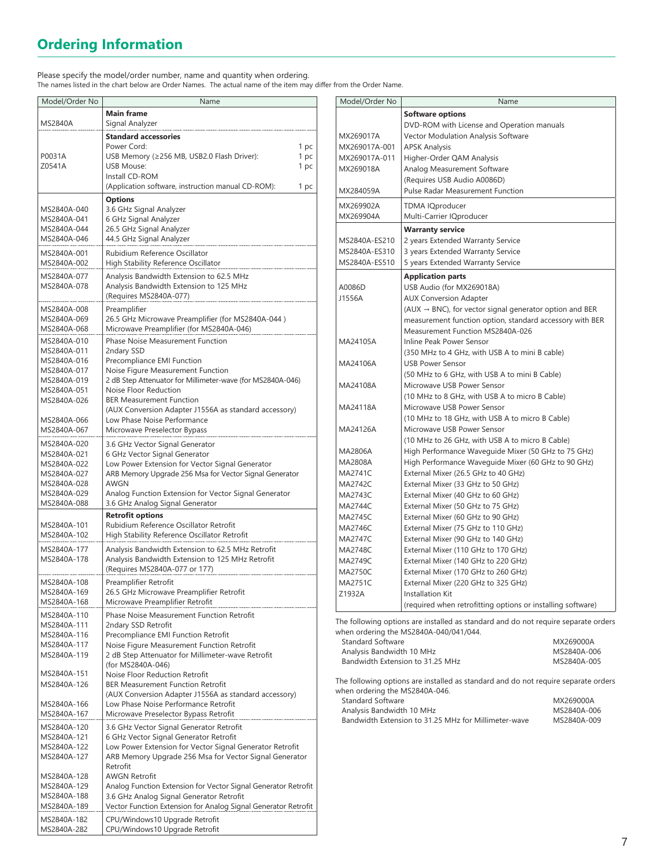# **Ordering Information**

Please specify the model/order number, name and quantity when ordering. The names listed in the chart below are Order Names. The actual name of the item may differ from the Order Name.

| Model/Order No                                                                                                                      | Name                                                                                                                                                                                                                                                                                                                                                                                                                                                    |                              |
|-------------------------------------------------------------------------------------------------------------------------------------|---------------------------------------------------------------------------------------------------------------------------------------------------------------------------------------------------------------------------------------------------------------------------------------------------------------------------------------------------------------------------------------------------------------------------------------------------------|------------------------------|
| MS2840A                                                                                                                             | <b>Main frame</b><br>Signal Analyzer                                                                                                                                                                                                                                                                                                                                                                                                                    |                              |
| P0031A<br>Z0541A                                                                                                                    | <b>Standard accessories</b><br>Power Cord:<br>USB Memory (≥256 MB, USB2.0 Flash Driver):<br><b>USB Mouse:</b><br>Install CD-ROM<br>(Application software, instruction manual CD-ROM):                                                                                                                                                                                                                                                                   | 1 pc<br>1 pc<br>1 pc<br>1 pc |
| MS2840A-040<br>MS2840A-041<br>MS2840A-044<br>MS2840A-046                                                                            | <b>Options</b><br>3.6 GHz Signal Analyzer<br>6 GHz Signal Analyzer<br>26.5 GHz Signal Analyzer<br>44.5 GHz Signal Analyzer                                                                                                                                                                                                                                                                                                                              |                              |
| MS2840A-001<br>MS2840A-002                                                                                                          | Rubidium Reference Oscillator<br>High Stability Reference Oscillator                                                                                                                                                                                                                                                                                                                                                                                    |                              |
| MS2840A-077<br>MS2840A-078                                                                                                          | Analysis Bandwidth Extension to 62.5 MHz<br>Analysis Bandwidth Extension to 125 MHz<br>(Requires MS2840A-077)                                                                                                                                                                                                                                                                                                                                           |                              |
| MS2840A-008<br>MS2840A-069<br>MS2840A-068                                                                                           | Preamplifier<br>26.5 GHz Microwave Preamplifier (for MS2840A-044)<br>Microwave Preamplifier (for MS2840A-046)                                                                                                                                                                                                                                                                                                                                           |                              |
| MS2840A-010<br>MS2840A-011<br>MS2840A-016<br>MS2840A-017<br>MS2840A-019<br>MS2840A-051<br>MS2840A-026<br>MS2840A-066<br>MS2840A-067 | Phase Noise Measurement Function<br>2ndary SSD<br>Precompliance EMI Function<br>Noise Figure Measurement Function<br>2 dB Step Attenuator for Millimeter-wave (for MS2840A-046)<br>Noise Floor Reduction<br><b>BER Measurement Function</b><br>(AUX Conversion Adapter J1556A as standard accessory)<br>Low Phase Noise Performance<br>Microwave Preselector Bypass                                                                                     |                              |
| MS2840A-020<br>MS2840A-021<br>MS2840A-022<br>MS2840A-027<br>MS2840A-028<br>MS2840A-029<br>MS2840A-088                               | 3.6 GHz Vector Signal Generator<br>6 GHz Vector Signal Generator<br>Low Power Extension for Vector Signal Generator<br>ARB Memory Upgrade 256 Msa for Vector Signal Generator<br>AWGN<br>Analog Function Extension for Vector Signal Generator<br>3.6 GHz Analog Signal Generator                                                                                                                                                                       |                              |
| MS2840A-101<br>MS2840A-102                                                                                                          | <b>Retrofit options</b><br>Rubidium Reference Oscillator Retrofit<br>High Stability Reference Oscillator Retrofit                                                                                                                                                                                                                                                                                                                                       |                              |
| MS2840A-177<br>MS2840A-178                                                                                                          | Analysis Bandwidth Extension to 62.5 MHz Retrofit<br>Analysis Bandwidth Extension to 125 MHz Retrofit<br>(Requires MS2840A-077 or 177)                                                                                                                                                                                                                                                                                                                  |                              |
| MS2840A-108<br>MS2840A-169<br>MS2840A-168                                                                                           | Preamplifier Retrofit<br>26.5 GHz Microwave Preamplifier Retrofit<br>Microwave Preamplifier Retrofit                                                                                                                                                                                                                                                                                                                                                    |                              |
| MS2840A-110<br>MS2840A-111<br>MS2840A-116<br>MS2840A-117<br>MS2840A-119<br>MS2840A-151<br>MS2840A-126<br>MS2840A-166<br>MS2840A-167 | Phase Noise Measurement Function Retrofit<br>2ndary SSD Retrofit<br>Precompliance EMI Function Retrofit<br>Noise Figure Measurement Function Retrofit<br>2 dB Step Attenuator for Millimeter-wave Retrofit<br>(for MS2840A-046)<br>Noise Floor Reduction Retrofit<br><b>BER Measurement Function Retrofit</b><br>(AUX Conversion Adapter J1556A as standard accessory)<br>Low Phase Noise Performance Retrofit<br>Microwave Preselector Bypass Retrofit |                              |
| MS2840A-120<br>MS2840A-121<br>MS2840A-122<br>MS2840A-127<br>MS2840A-128                                                             | 3.6 GHz Vector Signal Generator Retrofit<br>6 GHz Vector Signal Generator Retrofit<br>Low Power Extension for Vector Signal Generator Retrofit<br>ARB Memory Upgrade 256 Msa for Vector Signal Generator<br>Retrofit<br><b>AWGN Retrofit</b>                                                                                                                                                                                                            |                              |
| MS2840A-129<br>MS2840A-188<br>MS2840A-189                                                                                           | Analog Function Extension for Vector Signal Generator Retrofit<br>3.6 GHz Analog Signal Generator Retrofit<br>Vector Function Extension for Analog Signal Generator Retrofit                                                                                                                                                                                                                                                                            |                              |
| MS2840A-182<br>MS2840A-282                                                                                                          | CPU/Windows10 Upgrade Retrofit<br>CPU/Windows10 Upgrade Retrofit                                                                                                                                                                                                                                                                                                                                                                                        |                              |

| Model/Order No                                               | Name                                                                               |
|--------------------------------------------------------------|------------------------------------------------------------------------------------|
|                                                              | <b>Software options</b>                                                            |
|                                                              | DVD-ROM with License and Operation manuals                                         |
| MX269017A                                                    | Vector Modulation Analysis Software                                                |
| MX269017A-001                                                | <b>APSK Analysis</b>                                                               |
| MX269017A-011                                                | Higher-Order QAM Analysis                                                          |
| MX269018A                                                    | Analog Measurement Software                                                        |
|                                                              | (Requires USB Audio A0086D)                                                        |
| MX284059A                                                    | Pulse Radar Measurement Function                                                   |
| MX269902A                                                    | <b>TDMA IQproducer</b>                                                             |
| MX269904A                                                    | Multi-Carrier IQproducer                                                           |
|                                                              | <b>Warranty service</b>                                                            |
| MS2840A-ES210                                                | 2 years Extended Warranty Service                                                  |
| MS2840A-ES310                                                | 3 years Extended Warranty Service                                                  |
| MS2840A-ES510                                                | 5 years Extended Warranty Service                                                  |
|                                                              | <b>Application parts</b>                                                           |
| A0086D                                                       | USB Audio (for MX269018A)                                                          |
| J1556A                                                       | <b>AUX Conversion Adapter</b>                                                      |
|                                                              | $(AUX \rightarrow BNC)$ , for vector signal generator option and BER               |
|                                                              | measurement function option, standard accessory with BER                           |
|                                                              | Measurement Function MS2840A-026                                                   |
| MA24105A                                                     | Inline Peak Power Sensor                                                           |
|                                                              | (350 MHz to 4 GHz, with USB A to mini B cable)                                     |
| MA24106A                                                     | <b>USB Power Sensor</b>                                                            |
|                                                              | (50 MHz to 6 GHz, with USB A to mini B Cable)                                      |
| MA24108A                                                     | Microwave USB Power Sensor                                                         |
|                                                              | (10 MHz to 8 GHz, with USB A to micro B Cable)                                     |
| MA24118A                                                     | Microwave USB Power Sensor                                                         |
|                                                              | (10 MHz to 18 GHz, with USB A to micro B Cable)                                    |
| MA24126A                                                     | Microwave USB Power Sensor                                                         |
|                                                              | (10 MHz to 26 GHz, with USB A to micro B Cable)                                    |
| MA2806A                                                      | High Performance Waveguide Mixer (50 GHz to 75 GHz)                                |
| MA2808A                                                      | High Performance Waveguide Mixer (60 GHz to 90 GHz)                                |
| <b>MA2741C</b>                                               | External Mixer (26.5 GHz to 40 GHz)                                                |
| MA2742C                                                      | External Mixer (33 GHz to 50 GHz)                                                  |
| MA2743C                                                      | External Mixer (40 GHz to 60 GHz)                                                  |
| MA2744C                                                      | External Mixer (50 GHz to 75 GHz)                                                  |
| <b>MA2745C</b>                                               | External Mixer (60 GHz to 90 GHz)                                                  |
| MA2746C                                                      | External Mixer (75 GHz to 110 GHz)                                                 |
| <b>MA2747C</b>                                               | External Mixer (90 GHz to 140 GHz)                                                 |
| <b>MA2748C</b>                                               | External Mixer (110 GHz to 170 GHz)                                                |
| <b>MA2749C</b>                                               | External Mixer (140 GHz to 220 GHz)                                                |
| <b>MA2750C</b>                                               | External Mixer (170 GHz to 260 GHz)                                                |
| <b>MA2751C</b>                                               | External Mixer (220 GHz to 325 GHz)                                                |
| Z1932A                                                       | Installation Kit                                                                   |
|                                                              | (required when retrofitting options or installing software)                        |
|                                                              | The following options are installed as standard and do not require separate orders |
|                                                              | when ordering the MS2840A-040/041/044.                                             |
| <b>Standard Software</b><br>$A$ nahusis Randwidth 10 $M\Box$ | MX269000A<br>MCCOAOA OOC                                                           |
|                                                              |                                                                                    |

| Standard Software                | MXZ69000A   |
|----------------------------------|-------------|
| Analysis Bandwidth 10 MHz        | MS2840A-006 |
| Bandwidth Extension to 31.25 MHz | MS2840A-005 |

The following options are installed as standard and do not require separate orders when ordering the MS2840A-046.

| Standard Software                                    | MX269000A   |
|------------------------------------------------------|-------------|
| Analysis Bandwidth 10 MHz                            | MS2840A-006 |
| Bandwidth Extension to 31.25 MHz for Millimeter-wave | MS2840A-009 |